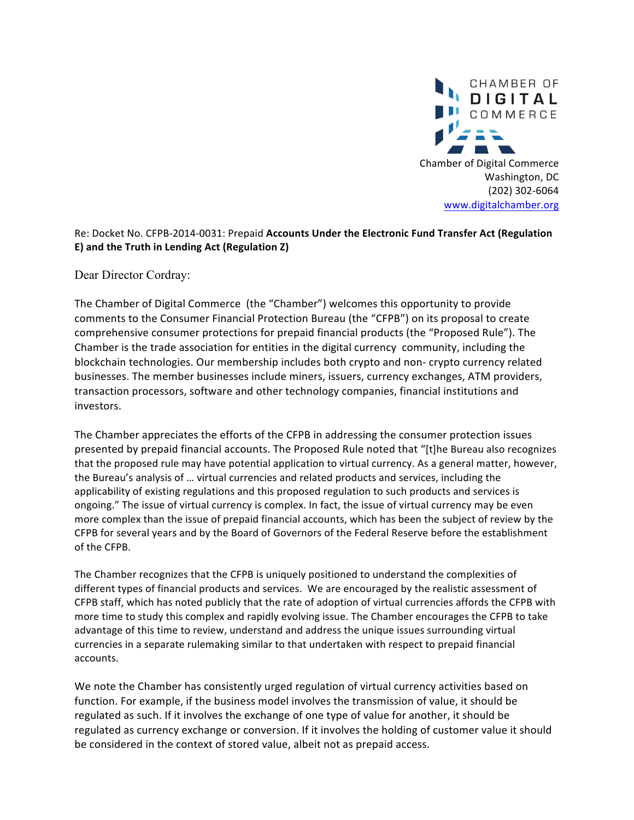

## Re: Docket No. CFPB-2014-0031: Prepaid Accounts Under the Electronic Fund Transfer Act (Regulation E) and the Truth in Lending Act (Regulation Z)

Dear Director Cordray:

The Chamber of Digital Commerce (the "Chamber") welcomes this opportunity to provide comments to the Consumer Financial Protection Bureau (the "CFPB") on its proposal to create comprehensive consumer protections for prepaid financial products (the "Proposed Rule"). The Chamber is the trade association for entities in the digital currency community, including the blockchain technologies. Our membership includes both crypto and non- crypto currency related businesses. The member businesses include miners, issuers, currency exchanges, ATM providers, transaction processors, software and other technology companies, financial institutions and investors. 

The Chamber appreciates the efforts of the CFPB in addressing the consumer protection issues presented by prepaid financial accounts. The Proposed Rule noted that "[t]he Bureau also recognizes that the proposed rule may have potential application to virtual currency. As a general matter, however, the Bureau's analysis of ... virtual currencies and related products and services, including the applicability of existing regulations and this proposed regulation to such products and services is ongoing." The issue of virtual currency is complex. In fact, the issue of virtual currency may be even more complex than the issue of prepaid financial accounts, which has been the subject of review by the CFPB for several years and by the Board of Governors of the Federal Reserve before the establishment of the CFPB.

The Chamber recognizes that the CFPB is uniquely positioned to understand the complexities of different types of financial products and services. We are encouraged by the realistic assessment of CFPB staff, which has noted publicly that the rate of adoption of virtual currencies affords the CFPB with more time to study this complex and rapidly evolving issue. The Chamber encourages the CFPB to take advantage of this time to review, understand and address the unique issues surrounding virtual currencies in a separate rulemaking similar to that undertaken with respect to prepaid financial accounts. 

We note the Chamber has consistently urged regulation of virtual currency activities based on function. For example, if the business model involves the transmission of value, it should be regulated as such. If it involves the exchange of one type of value for another, it should be regulated as currency exchange or conversion. If it involves the holding of customer value it should be considered in the context of stored value, albeit not as prepaid access.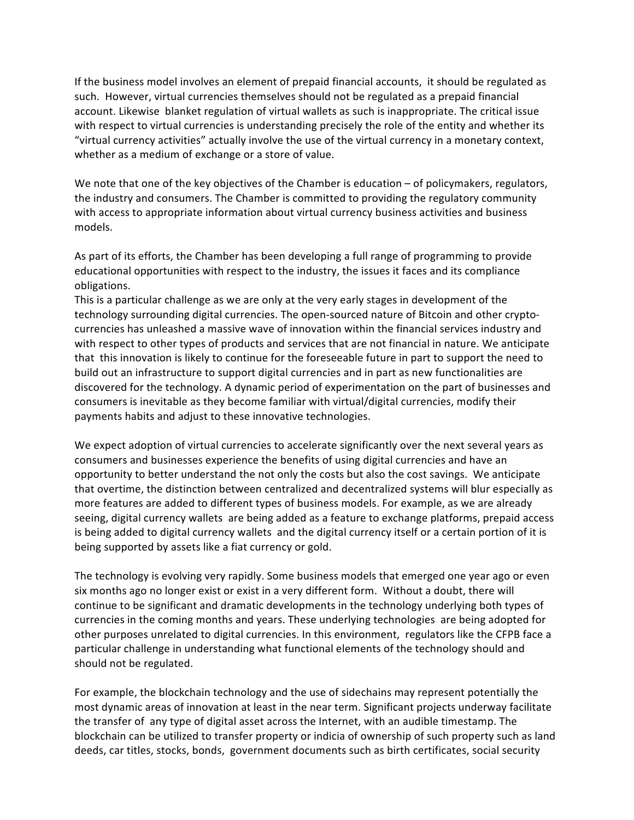If the business model involves an element of prepaid financial accounts, it should be regulated as such. However, virtual currencies themselves should not be regulated as a prepaid financial account. Likewise blanket regulation of virtual wallets as such is inappropriate. The critical issue with respect to virtual currencies is understanding precisely the role of the entity and whether its "virtual currency activities" actually involve the use of the virtual currency in a monetary context, whether as a medium of exchange or a store of value.

We note that one of the key objectives of the Chamber is education  $-$  of policymakers, regulators, the industry and consumers. The Chamber is committed to providing the regulatory community with access to appropriate information about virtual currency business activities and business models. 

As part of its efforts, the Chamber has been developing a full range of programming to provide educational opportunities with respect to the industry, the issues it faces and its compliance obligations. 

This is a particular challenge as we are only at the very early stages in development of the technology surrounding digital currencies. The open-sourced nature of Bitcoin and other cryptocurrencies has unleashed a massive wave of innovation within the financial services industry and with respect to other types of products and services that are not financial in nature. We anticipate that this innovation is likely to continue for the foreseeable future in part to support the need to build out an infrastructure to support digital currencies and in part as new functionalities are discovered for the technology. A dynamic period of experimentation on the part of businesses and consumers is inevitable as they become familiar with virtual/digital currencies, modify their payments habits and adjust to these innovative technologies.

We expect adoption of virtual currencies to accelerate significantly over the next several years as consumers and businesses experience the benefits of using digital currencies and have an opportunity to better understand the not only the costs but also the cost savings. We anticipate that overtime, the distinction between centralized and decentralized systems will blur especially as more features are added to different types of business models. For example, as we are already seeing, digital currency wallets are being added as a feature to exchange platforms, prepaid access is being added to digital currency wallets and the digital currency itself or a certain portion of it is being supported by assets like a fiat currency or gold.

The technology is evolving very rapidly. Some business models that emerged one year ago or even six months ago no longer exist or exist in a very different form. Without a doubt, there will continue to be significant and dramatic developments in the technology underlying both types of currencies in the coming months and years. These underlying technologies are being adopted for other purposes unrelated to digital currencies. In this environment, regulators like the CFPB face a particular challenge in understanding what functional elements of the technology should and should not be regulated.

For example, the blockchain technology and the use of sidechains may represent potentially the most dynamic areas of innovation at least in the near term. Significant projects underway facilitate the transfer of any type of digital asset across the Internet, with an audible timestamp. The blockchain can be utilized to transfer property or indicia of ownership of such property such as land deeds, car titles, stocks, bonds, government documents such as birth certificates, social security